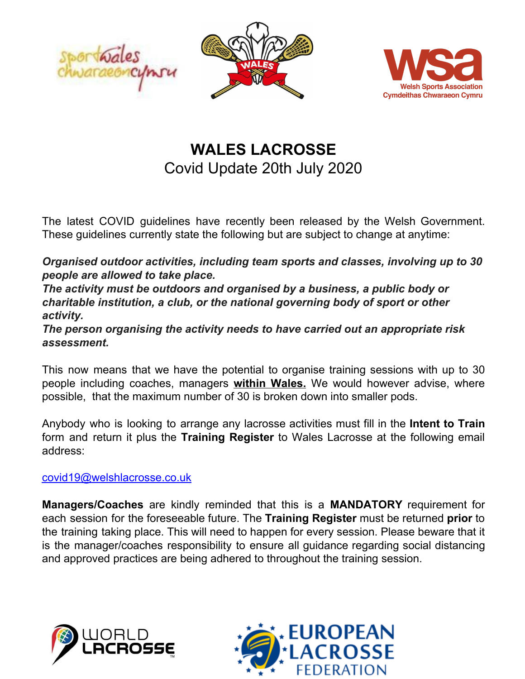



## **WALES LACROSSE** Covid Update 20th July 2020

The latest COVID guidelines have recently been released by the Welsh Government. These guidelines currently state the following but are subject to change at anytime:

*Organised outdoor activities, including team sports and classes, involving up to 30 people are allowed to take place.*

*The activity must be outdoors and organised by a business, a public body or charitable institution, a club, or the national governing body of sport or other activity.*

*The person organising the activity needs to have carried out an appropriate risk assessment.*

This now means that we have the potential to organise training sessions with up to 30 people including coaches, managers **within Wales.** We would however advise, where possible, that the maximum number of 30 is broken down into smaller pods.

Anybody who is looking to arrange any lacrosse activities must fill in the **Intent to Train** form and return it plus the **Training Register** to Wales Lacrosse at the following email address:

## [covid19@welshlacrosse.co.uk](mailto:covid19@welshlacrosse.co.uk)

**Managers/Coaches** are kindly reminded that this is a **MANDATORY** requirement for each session for the foreseeable future. The **Training Register** must be returned **prior** to the training taking place. This will need to happen for every session. Please beware that it is the manager/coaches responsibility to ensure all guidance regarding social distancing and approved practices are being adhered to throughout the training session.